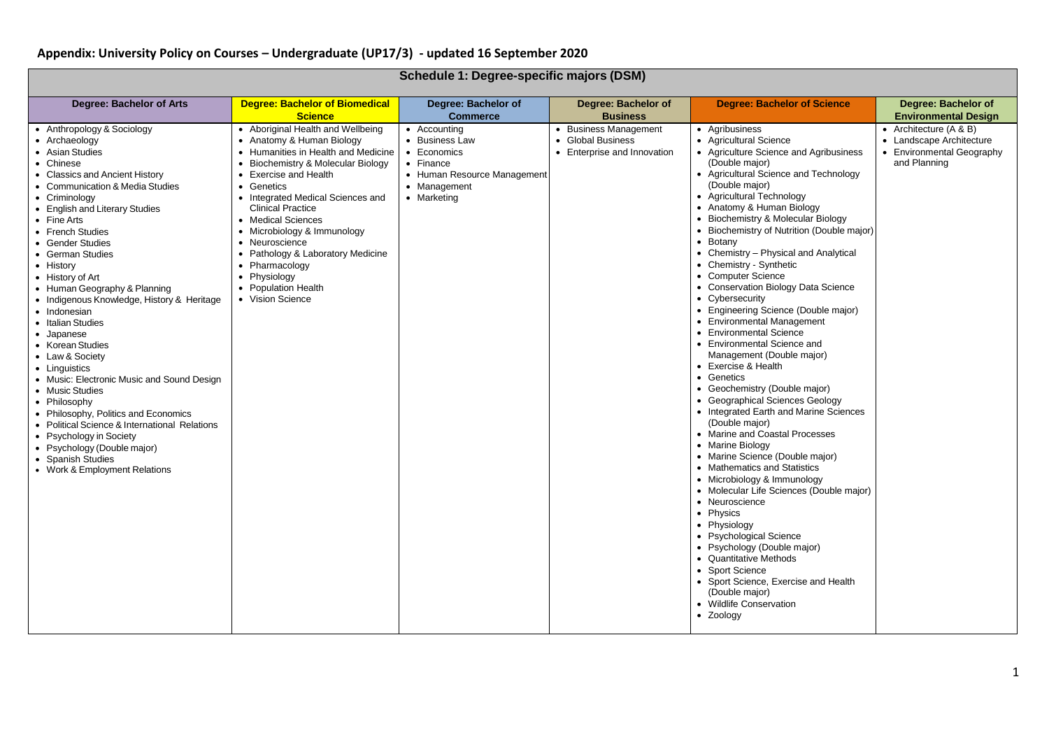| Schedule 1: Degree-specific majors (DSM)                                                                                                                                                                                                                                                                                                                                                                                                                                                                                                                                                                                                                                                                                                                                                                         |                                                                                                                                                                                                                                                                                                                                                                                                                                              |                                                                                                                          |                                                                           |                                                                                                                                                                                                                                                                                                                                                                                                                                                                                                                                                                                                                                                                                                                                                                                                                                                                                                                                                                                                                                                                                                                                                                                                                                                                             |                                                                                                   |
|------------------------------------------------------------------------------------------------------------------------------------------------------------------------------------------------------------------------------------------------------------------------------------------------------------------------------------------------------------------------------------------------------------------------------------------------------------------------------------------------------------------------------------------------------------------------------------------------------------------------------------------------------------------------------------------------------------------------------------------------------------------------------------------------------------------|----------------------------------------------------------------------------------------------------------------------------------------------------------------------------------------------------------------------------------------------------------------------------------------------------------------------------------------------------------------------------------------------------------------------------------------------|--------------------------------------------------------------------------------------------------------------------------|---------------------------------------------------------------------------|-----------------------------------------------------------------------------------------------------------------------------------------------------------------------------------------------------------------------------------------------------------------------------------------------------------------------------------------------------------------------------------------------------------------------------------------------------------------------------------------------------------------------------------------------------------------------------------------------------------------------------------------------------------------------------------------------------------------------------------------------------------------------------------------------------------------------------------------------------------------------------------------------------------------------------------------------------------------------------------------------------------------------------------------------------------------------------------------------------------------------------------------------------------------------------------------------------------------------------------------------------------------------------|---------------------------------------------------------------------------------------------------|
| Degree: Bachelor of Arts                                                                                                                                                                                                                                                                                                                                                                                                                                                                                                                                                                                                                                                                                                                                                                                         | <b>Degree: Bachelor of Biomedical</b><br><b>Science</b>                                                                                                                                                                                                                                                                                                                                                                                      | Degree: Bachelor of<br><b>Commerce</b>                                                                                   | Degree: Bachelor of<br><b>Business</b>                                    | <b>Degree: Bachelor of Science</b>                                                                                                                                                                                                                                                                                                                                                                                                                                                                                                                                                                                                                                                                                                                                                                                                                                                                                                                                                                                                                                                                                                                                                                                                                                          | Degree: Bachelor of<br><b>Environmental Design</b>                                                |
| • Anthropology & Sociology<br>• Archaeology<br>• Asian Studies<br>• Chinese<br>• Classics and Ancient History<br>• Communication & Media Studies<br>• Criminology<br>• English and Literary Studies<br>• Fine Arts<br>• French Studies<br><b>Gender Studies</b><br>German Studies<br>$\bullet$<br>• History<br>• History of Art<br>• Human Geography & Planning<br>• Indigenous Knowledge, History & Heritage<br>• Indonesian<br>• Italian Studies<br>• Japanese<br>• Korean Studies<br>• Law & Society<br>• Linguistics<br>• Music: Electronic Music and Sound Design<br>• Music Studies<br>• Philosophy<br>• Philosophy, Politics and Economics<br>Political Science & International Relations<br>• Psychology in Society<br>• Psychology (Double major)<br>• Spanish Studies<br>• Work & Employment Relations | • Aboriginal Health and Wellbeing<br>• Anatomy & Human Biology<br>• Humanities in Health and Medicine<br>• Biochemistry & Molecular Biology<br>• Exercise and Health<br>• Genetics<br>• Integrated Medical Sciences and<br><b>Clinical Practice</b><br>• Medical Sciences<br>• Microbiology & Immunology<br>• Neuroscience<br>• Pathology & Laboratory Medicine<br>• Pharmacology<br>• Physiology<br>• Population Health<br>• Vision Science | • Accounting<br>• Business Law<br>• Economics<br>• Finance<br>• Human Resource Management<br>• Management<br>• Marketing | • Business Management<br>• Global Business<br>• Enterprise and Innovation | • Agribusiness<br>• Agricultural Science<br>• Agriculture Science and Agribusiness<br>(Double major)<br>• Agricultural Science and Technology<br>(Double major)<br>• Agricultural Technology<br>• Anatomy & Human Biology<br>• Biochemistry & Molecular Biology<br>• Biochemistry of Nutrition (Double major)<br>• Botany<br>• Chemistry - Physical and Analytical<br>• Chemistry - Synthetic<br>• Computer Science<br>• Conservation Biology Data Science<br>• Cybersecurity<br>• Engineering Science (Double major)<br>• Environmental Management<br>• Environmental Science<br>• Environmental Science and<br>Management (Double major)<br>• Exercise & Health<br>• Genetics<br>• Geochemistry (Double major)<br>• Geographical Sciences Geology<br>• Integrated Earth and Marine Sciences<br>(Double major)<br>• Marine and Coastal Processes<br>• Marine Biology<br>• Marine Science (Double major)<br>• Mathematics and Statistics<br>• Microbiology & Immunology<br>• Molecular Life Sciences (Double major)<br>• Neuroscience<br>• Physics<br>• Physiology<br>• Psychological Science<br>• Psychology (Double major)<br>• Quantitative Methods<br>• Sport Science<br>• Sport Science, Exercise and Health<br>(Double major)<br>• Wildlife Conservation<br>• Zoology | • Architecture $(A & B)$<br>• Landscape Architecture<br>• Environmental Geography<br>and Planning |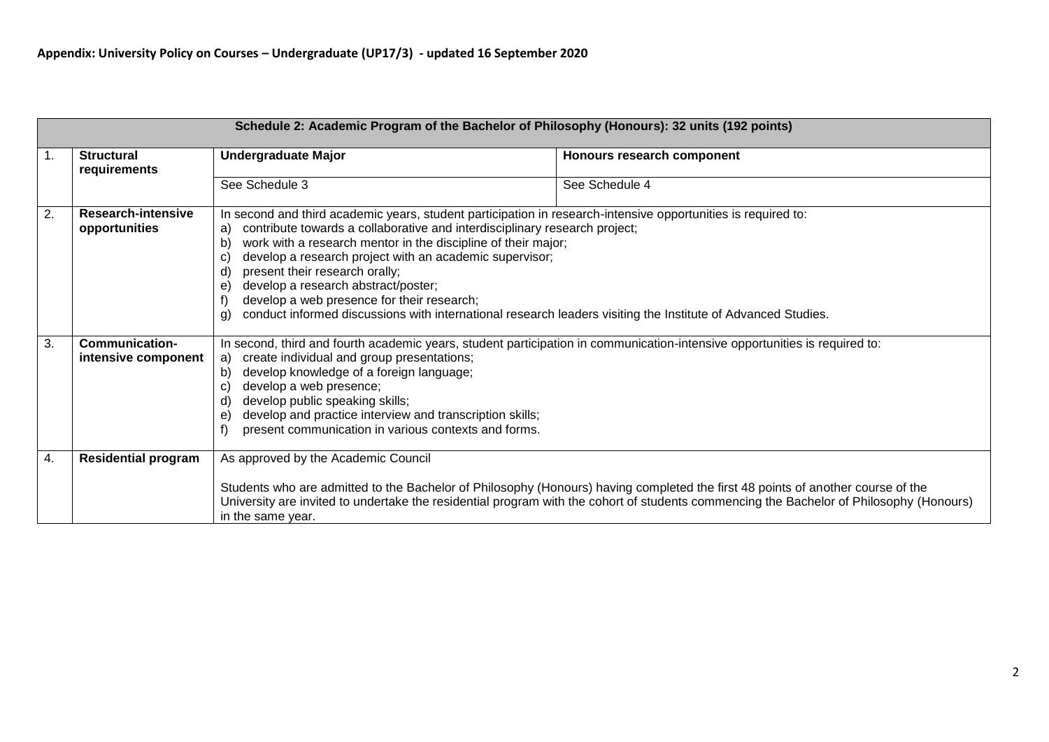|                |                                              | Schedule 2: Academic Program of the Bachelor of Philosophy (Honours): 32 units (192 points)                                                                                                                                                                                                                                                                                                                                                                                                                                                                                                      |                                                                                                                                                                                                                                                                            |
|----------------|----------------------------------------------|--------------------------------------------------------------------------------------------------------------------------------------------------------------------------------------------------------------------------------------------------------------------------------------------------------------------------------------------------------------------------------------------------------------------------------------------------------------------------------------------------------------------------------------------------------------------------------------------------|----------------------------------------------------------------------------------------------------------------------------------------------------------------------------------------------------------------------------------------------------------------------------|
| $\mathbf{1}$ . | <b>Structural</b><br>requirements            | <b>Undergraduate Major</b>                                                                                                                                                                                                                                                                                                                                                                                                                                                                                                                                                                       | Honours research component                                                                                                                                                                                                                                                 |
|                |                                              | See Schedule 3                                                                                                                                                                                                                                                                                                                                                                                                                                                                                                                                                                                   | See Schedule 4                                                                                                                                                                                                                                                             |
| 2.             | Research-intensive<br>opportunities          | In second and third academic years, student participation in research-intensive opportunities is required to:<br>contribute towards a collaborative and interdisciplinary research project;<br>a)<br>work with a research mentor in the discipline of their major;<br>b)<br>develop a research project with an academic supervisor;<br>C<br>present their research orally;<br>ď<br>develop a research abstract/poster;<br>e)<br>develop a web presence for their research;<br>conduct informed discussions with international research leaders visiting the Institute of Advanced Studies.<br>g) |                                                                                                                                                                                                                                                                            |
| 3.             | <b>Communication-</b><br>intensive component | In second, third and fourth academic years, student participation in communication-intensive opportunities is required to:<br>create individual and group presentations;<br>a)<br>develop knowledge of a foreign language;<br>b)<br>develop a web presence;<br>develop public speaking skills;<br>ď<br>develop and practice interview and transcription skills;<br>e<br>present communication in various contexts and forms.                                                                                                                                                                     |                                                                                                                                                                                                                                                                            |
| 4.             | <b>Residential program</b>                   | As approved by the Academic Council<br>in the same year.                                                                                                                                                                                                                                                                                                                                                                                                                                                                                                                                         | Students who are admitted to the Bachelor of Philosophy (Honours) having completed the first 48 points of another course of the<br>University are invited to undertake the residential program with the cohort of students commencing the Bachelor of Philosophy (Honours) |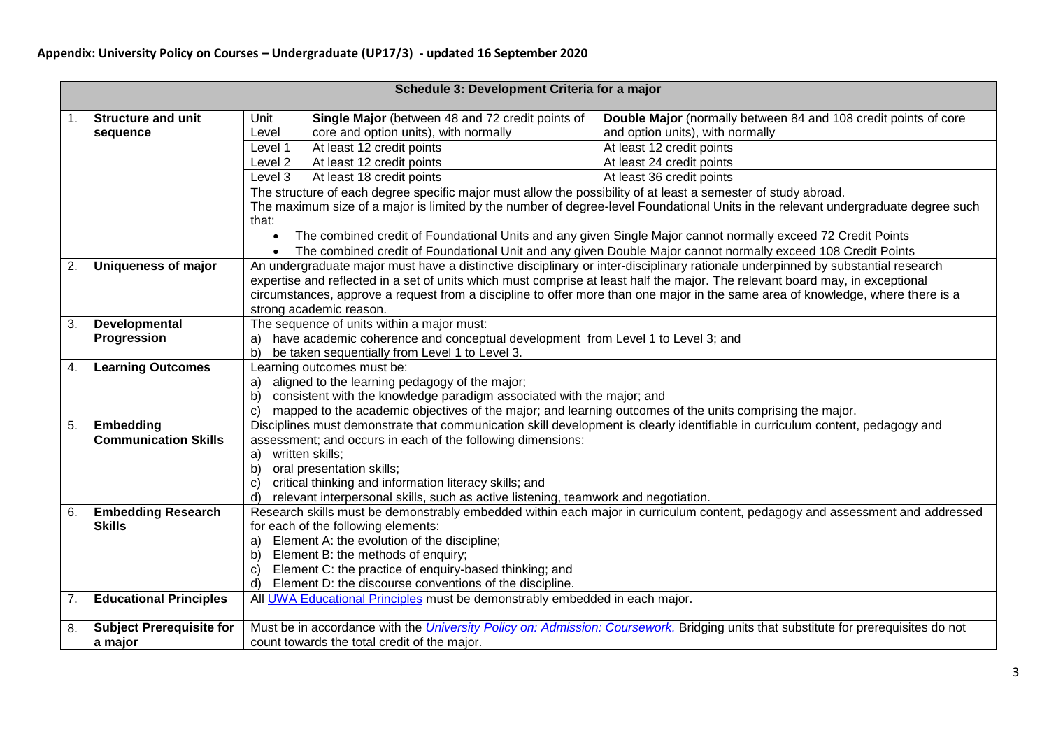|                  |                                 |                                                                                                                                                                                                                                                 | Schedule 3: Development Criteria for a major                                                                   |                                                                                                                                             |  |  |
|------------------|---------------------------------|-------------------------------------------------------------------------------------------------------------------------------------------------------------------------------------------------------------------------------------------------|----------------------------------------------------------------------------------------------------------------|---------------------------------------------------------------------------------------------------------------------------------------------|--|--|
| 1.               | <b>Structure and unit</b>       | Unit                                                                                                                                                                                                                                            | Single Major (between 48 and 72 credit points of                                                               | Double Major (normally between 84 and 108 credit points of core                                                                             |  |  |
|                  | sequence                        | Level                                                                                                                                                                                                                                           | core and option units), with normally                                                                          | and option units), with normally                                                                                                            |  |  |
|                  |                                 | Level 1                                                                                                                                                                                                                                         | At least 12 credit points                                                                                      | At least 12 credit points                                                                                                                   |  |  |
|                  |                                 | Level <sub>2</sub>                                                                                                                                                                                                                              | At least 12 credit points                                                                                      | At least 24 credit points                                                                                                                   |  |  |
|                  |                                 | Level 3                                                                                                                                                                                                                                         | At least 18 credit points                                                                                      | At least 36 credit points                                                                                                                   |  |  |
|                  |                                 |                                                                                                                                                                                                                                                 | The structure of each degree specific major must allow the possibility of at least a semester of study abroad. |                                                                                                                                             |  |  |
|                  |                                 |                                                                                                                                                                                                                                                 |                                                                                                                | The maximum size of a major is limited by the number of degree-level Foundational Units in the relevant undergraduate degree such           |  |  |
|                  |                                 | that:                                                                                                                                                                                                                                           |                                                                                                                |                                                                                                                                             |  |  |
|                  |                                 | $\bullet$                                                                                                                                                                                                                                       |                                                                                                                | The combined credit of Foundational Units and any given Single Major cannot normally exceed 72 Credit Points                                |  |  |
|                  |                                 |                                                                                                                                                                                                                                                 |                                                                                                                | The combined credit of Foundational Unit and any given Double Major cannot normally exceed 108 Credit Points                                |  |  |
| 2.               | <b>Uniqueness of major</b>      |                                                                                                                                                                                                                                                 |                                                                                                                | An undergraduate major must have a distinctive disciplinary or inter-disciplinary rationale underpinned by substantial research             |  |  |
|                  |                                 |                                                                                                                                                                                                                                                 |                                                                                                                | expertise and reflected in a set of units which must comprise at least half the major. The relevant board may, in exceptional               |  |  |
|                  |                                 |                                                                                                                                                                                                                                                 |                                                                                                                | circumstances, approve a request from a discipline to offer more than one major in the same area of knowledge, where there is a             |  |  |
|                  |                                 | strong academic reason.                                                                                                                                                                                                                         |                                                                                                                |                                                                                                                                             |  |  |
| 3.               | Developmental                   | The sequence of units within a major must:                                                                                                                                                                                                      |                                                                                                                |                                                                                                                                             |  |  |
|                  | Progression                     | have academic coherence and conceptual development from Level 1 to Level 3; and<br>a)                                                                                                                                                           |                                                                                                                |                                                                                                                                             |  |  |
|                  |                                 | be taken sequentially from Level 1 to Level 3.<br>b)                                                                                                                                                                                            |                                                                                                                |                                                                                                                                             |  |  |
| 4.               | <b>Learning Outcomes</b>        |                                                                                                                                                                                                                                                 | Learning outcomes must be:                                                                                     |                                                                                                                                             |  |  |
|                  |                                 | a)                                                                                                                                                                                                                                              | aligned to the learning pedagogy of the major;                                                                 |                                                                                                                                             |  |  |
|                  |                                 | b)                                                                                                                                                                                                                                              | consistent with the knowledge paradigm associated with the major; and                                          |                                                                                                                                             |  |  |
| 5.               | Embedding                       | mapped to the academic objectives of the major; and learning outcomes of the units comprising the major.<br>C)<br>Disciplines must demonstrate that communication skill development is clearly identifiable in curriculum content, pedagogy and |                                                                                                                |                                                                                                                                             |  |  |
|                  | <b>Communication Skills</b>     |                                                                                                                                                                                                                                                 | assessment; and occurs in each of the following dimensions:                                                    |                                                                                                                                             |  |  |
|                  |                                 | written skills;<br>a)                                                                                                                                                                                                                           |                                                                                                                |                                                                                                                                             |  |  |
|                  |                                 | b)<br>oral presentation skills;                                                                                                                                                                                                                 |                                                                                                                |                                                                                                                                             |  |  |
|                  |                                 | critical thinking and information literacy skills; and<br>c)                                                                                                                                                                                    |                                                                                                                |                                                                                                                                             |  |  |
|                  |                                 | relevant interpersonal skills, such as active listening, teamwork and negotiation.<br>d)                                                                                                                                                        |                                                                                                                |                                                                                                                                             |  |  |
| 6.               | <b>Embedding Research</b>       | Research skills must be demonstrably embedded within each major in curriculum content, pedagogy and assessment and addressed                                                                                                                    |                                                                                                                |                                                                                                                                             |  |  |
|                  | <b>Skills</b>                   | for each of the following elements:                                                                                                                                                                                                             |                                                                                                                |                                                                                                                                             |  |  |
|                  |                                 | a)                                                                                                                                                                                                                                              | Element A: the evolution of the discipline;                                                                    |                                                                                                                                             |  |  |
|                  |                                 | b)                                                                                                                                                                                                                                              | Element B: the methods of enquiry;                                                                             |                                                                                                                                             |  |  |
|                  |                                 | c)                                                                                                                                                                                                                                              | Element C: the practice of enquiry-based thinking; and                                                         |                                                                                                                                             |  |  |
|                  |                                 | d)                                                                                                                                                                                                                                              | Element D: the discourse conventions of the discipline.                                                        |                                                                                                                                             |  |  |
| $\overline{7}$ . | <b>Educational Principles</b>   |                                                                                                                                                                                                                                                 | All UWA Educational Principles must be demonstrably embedded in each major.                                    |                                                                                                                                             |  |  |
|                  |                                 |                                                                                                                                                                                                                                                 |                                                                                                                |                                                                                                                                             |  |  |
| 8.               | <b>Subject Prerequisite for</b> |                                                                                                                                                                                                                                                 |                                                                                                                | Must be in accordance with the <i>University Policy on: Admission: Coursework</i> . Bridging units that substitute for prerequisites do not |  |  |
|                  | a major                         |                                                                                                                                                                                                                                                 | count towards the total credit of the major.                                                                   |                                                                                                                                             |  |  |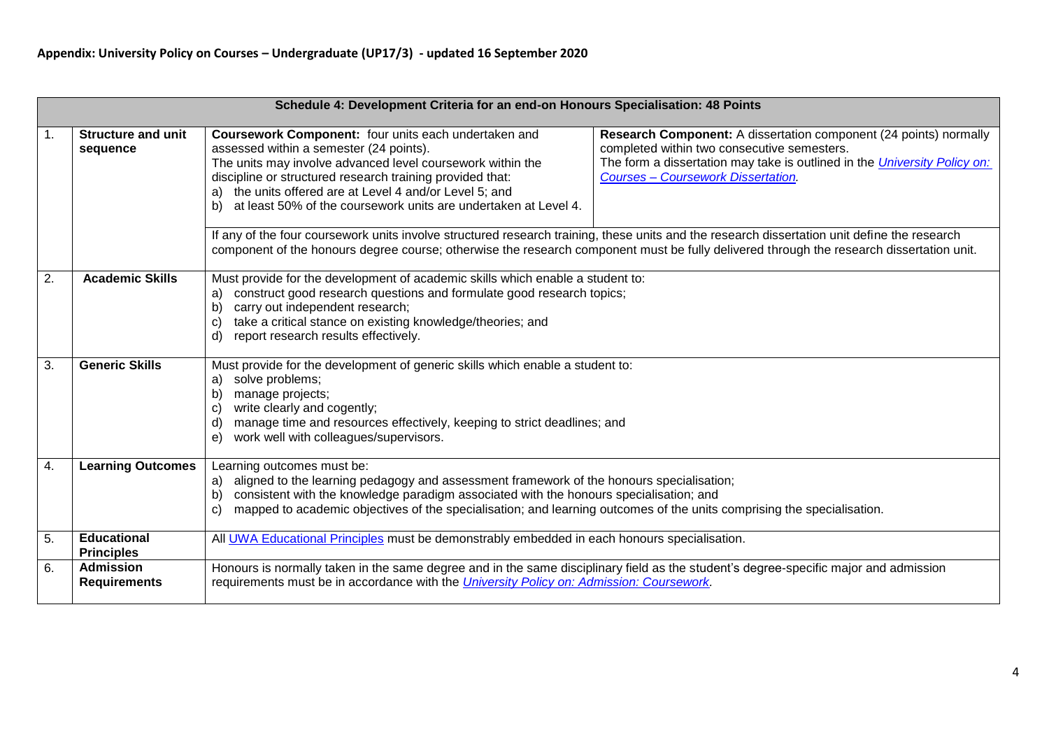|    | Schedule 4: Development Criteria for an end-on Honours Specialisation: 48 Points |                                                                                                                                                                                                                                                                                                                                                                                                                                                                                                                                                                                                                  |  |  |  |
|----|----------------------------------------------------------------------------------|------------------------------------------------------------------------------------------------------------------------------------------------------------------------------------------------------------------------------------------------------------------------------------------------------------------------------------------------------------------------------------------------------------------------------------------------------------------------------------------------------------------------------------------------------------------------------------------------------------------|--|--|--|
| 1. | <b>Structure and unit</b><br>sequence                                            | Coursework Component: four units each undertaken and<br>Research Component: A dissertation component (24 points) normally<br>completed within two consecutive semesters.<br>assessed within a semester (24 points).<br>The units may involve advanced level coursework within the<br>The form a dissertation may take is outlined in the <i>University Policy on:</i><br>discipline or structured research training provided that:<br><b>Courses - Coursework Dissertation.</b><br>a) the units offered are at Level 4 and/or Level 5; and<br>b) at least 50% of the coursework units are undertaken at Level 4. |  |  |  |
|    |                                                                                  | If any of the four coursework units involve structured research training, these units and the research dissertation unit define the research<br>component of the honours degree course; otherwise the research component must be fully delivered through the research dissertation unit.                                                                                                                                                                                                                                                                                                                         |  |  |  |
| 2. | <b>Academic Skills</b>                                                           | Must provide for the development of academic skills which enable a student to:<br>construct good research questions and formulate good research topics;<br>a)<br>carry out independent research;<br>b)<br>take a critical stance on existing knowledge/theories; and<br>C)<br>report research results effectively.<br>d)                                                                                                                                                                                                                                                                                         |  |  |  |
| 3. | <b>Generic Skills</b>                                                            | Must provide for the development of generic skills which enable a student to:<br>solve problems;<br>a)<br>manage projects;<br>b)<br>write clearly and cogently;<br>C)<br>manage time and resources effectively, keeping to strict deadlines; and<br>d)<br>e) work well with colleagues/supervisors.                                                                                                                                                                                                                                                                                                              |  |  |  |
| 4. | <b>Learning Outcomes</b>                                                         | Learning outcomes must be:<br>a) aligned to the learning pedagogy and assessment framework of the honours specialisation;<br>consistent with the knowledge paradigm associated with the honours specialisation; and<br>b)<br>mapped to academic objectives of the specialisation; and learning outcomes of the units comprising the specialisation.<br>C)                                                                                                                                                                                                                                                        |  |  |  |
| 5. | <b>Educational</b><br><b>Principles</b>                                          | All UWA Educational Principles must be demonstrably embedded in each honours specialisation.                                                                                                                                                                                                                                                                                                                                                                                                                                                                                                                     |  |  |  |
| 6. | <b>Admission</b><br><b>Requirements</b>                                          | Honours is normally taken in the same degree and in the same disciplinary field as the student's degree-specific major and admission<br>requirements must be in accordance with the <i>University Policy on: Admission: Coursework</i> .                                                                                                                                                                                                                                                                                                                                                                         |  |  |  |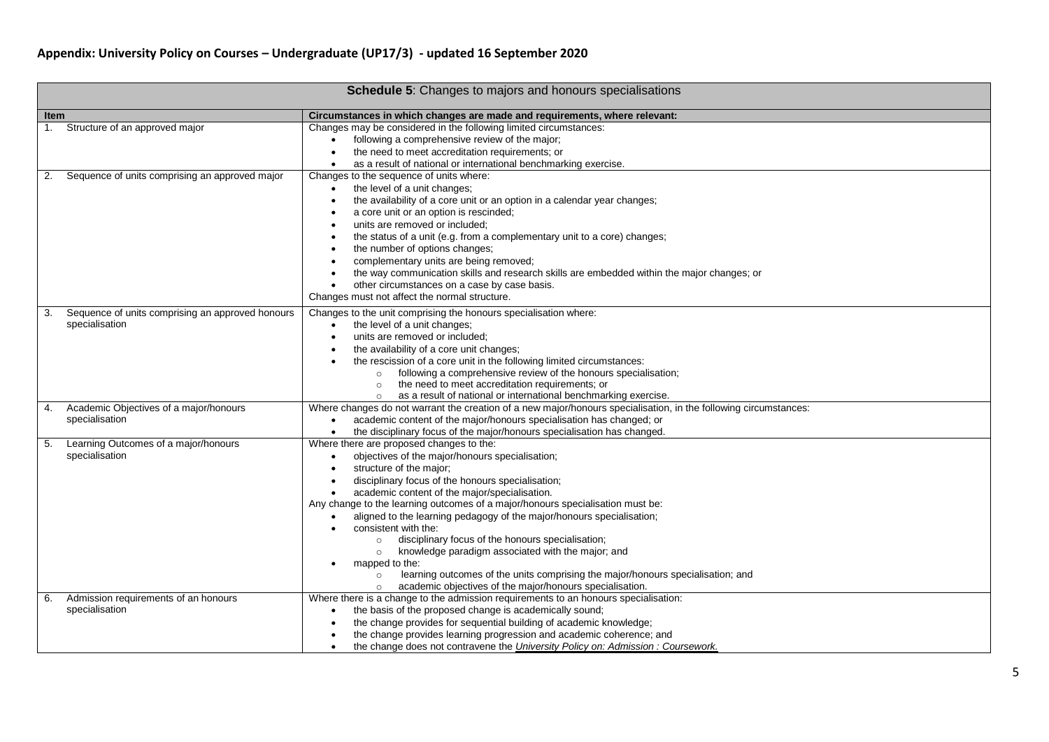|      |                                                                    | <b>Schedule 5:</b> Changes to majors and honours specialisations                                                                                                                                                                                                                                                                                                                                                                                                                                                                                                                                                                                                                                                                                                                |
|------|--------------------------------------------------------------------|---------------------------------------------------------------------------------------------------------------------------------------------------------------------------------------------------------------------------------------------------------------------------------------------------------------------------------------------------------------------------------------------------------------------------------------------------------------------------------------------------------------------------------------------------------------------------------------------------------------------------------------------------------------------------------------------------------------------------------------------------------------------------------|
| Item |                                                                    | Circumstances in which changes are made and requirements, where relevant:                                                                                                                                                                                                                                                                                                                                                                                                                                                                                                                                                                                                                                                                                                       |
| 1.   | Structure of an approved major                                     | Changes may be considered in the following limited circumstances:<br>following a comprehensive review of the major;<br>$\bullet$<br>the need to meet accreditation requirements; or<br>$\bullet$<br>as a result of national or international benchmarking exercise.<br>$\bullet$                                                                                                                                                                                                                                                                                                                                                                                                                                                                                                |
| 2.   | Sequence of units comprising an approved major                     | Changes to the sequence of units where:<br>the level of a unit changes;<br>$\bullet$<br>the availability of a core unit or an option in a calendar year changes;<br>$\bullet$<br>a core unit or an option is rescinded;<br>$\bullet$<br>units are removed or included;<br>$\bullet$<br>the status of a unit (e.g. from a complementary unit to a core) changes;<br>the number of options changes;<br>$\bullet$<br>complementary units are being removed;<br>$\bullet$<br>the way communication skills and research skills are embedded within the major changes; or<br>other circumstances on a case by case basis.<br>$\bullet$<br>Changes must not affect the normal structure.                                                                                               |
| 3.   | Sequence of units comprising an approved honours<br>specialisation | Changes to the unit comprising the honours specialisation where:<br>the level of a unit changes;<br>$\bullet$<br>units are removed or included;<br>$\bullet$<br>the availability of a core unit changes;<br>the rescission of a core unit in the following limited circumstances:<br>following a comprehensive review of the honours specialisation;<br>$\circ$<br>the need to meet accreditation requirements; or<br>$\circ$<br>as a result of national or international benchmarking exercise.<br>$\circ$                                                                                                                                                                                                                                                                     |
| 4.   | Academic Objectives of a major/honours<br>specialisation           | Where changes do not warrant the creation of a new major/honours specialisation, in the following circumstances:<br>academic content of the major/honours specialisation has changed; or<br>the disciplinary focus of the major/honours specialisation has changed.<br>$\bullet$                                                                                                                                                                                                                                                                                                                                                                                                                                                                                                |
| 5.   | Learning Outcomes of a major/honours<br>specialisation             | Where there are proposed changes to the:<br>objectives of the major/honours specialisation;<br>$\bullet$<br>structure of the major;<br>$\bullet$<br>disciplinary focus of the honours specialisation;<br>$\bullet$<br>academic content of the major/specialisation.<br>$\bullet$<br>Any change to the learning outcomes of a major/honours specialisation must be:<br>aligned to the learning pedagogy of the major/honours specialisation;<br>consistent with the:<br>disciplinary focus of the honours specialisation;<br>$\circ$<br>knowledge paradigm associated with the major; and<br>$\circ$<br>mapped to the:<br>learning outcomes of the units comprising the major/honours specialisation; and<br>$\circ$<br>academic objectives of the major/honours specialisation. |
| 6.   | Admission requirements of an honours<br>specialisation             | Where there is a change to the admission requirements to an honours specialisation:<br>the basis of the proposed change is academically sound;<br>$\bullet$<br>the change provides for sequential building of academic knowledge;<br>the change provides learning progression and academic coherence; and<br>the change does not contravene the University Policy on: Admission : Coursework.<br>$\bullet$                                                                                                                                                                                                                                                                                                                                                                      |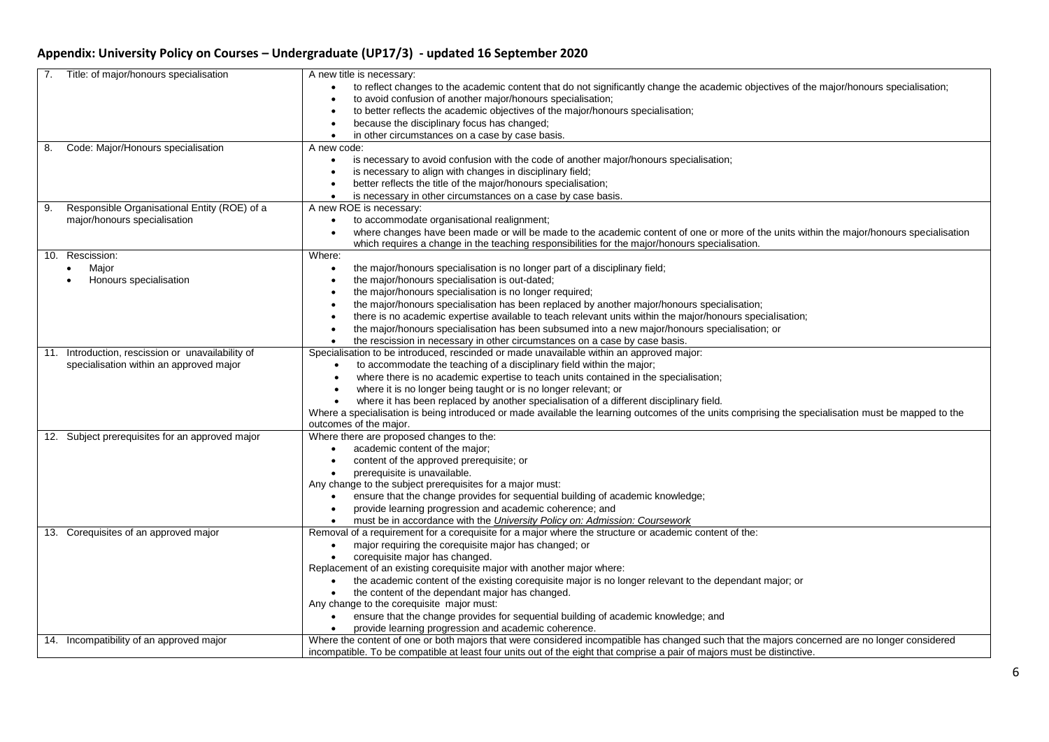| Title: of major/honours specialisation<br>7.         | A new title is necessary:                                                                                                                             |
|------------------------------------------------------|-------------------------------------------------------------------------------------------------------------------------------------------------------|
|                                                      | to reflect changes to the academic content that do not significantly change the academic objectives of the major/honours specialisation;<br>$\bullet$ |
|                                                      | to avoid confusion of another major/honours specialisation;<br>$\bullet$                                                                              |
|                                                      | to better reflects the academic objectives of the major/honours specialisation;<br>$\bullet$                                                          |
|                                                      | because the disciplinary focus has changed;<br>$\bullet$                                                                                              |
|                                                      | in other circumstances on a case by case basis.<br>$\bullet$                                                                                          |
| Code: Major/Honours specialisation<br>8.             | A new code:                                                                                                                                           |
|                                                      | is necessary to avoid confusion with the code of another major/honours specialisation;<br>٠                                                           |
|                                                      | is necessary to align with changes in disciplinary field;<br>$\bullet$                                                                                |
|                                                      | better reflects the title of the major/honours specialisation;<br>$\bullet$                                                                           |
|                                                      | is necessary in other circumstances on a case by case basis.<br>$\bullet$                                                                             |
| Responsible Organisational Entity (ROE) of a<br>9.   | A new ROE is necessary:                                                                                                                               |
| major/honours specialisation                         | to accommodate organisational realignment;<br>$\bullet$                                                                                               |
|                                                      | where changes have been made or will be made to the academic content of one or more of the units within the major/honours specialisation<br>$\bullet$ |
|                                                      | which requires a change in the teaching responsibilities for the major/honours specialisation.                                                        |
| Rescission:<br>10.                                   | Where:                                                                                                                                                |
| Major                                                | the major/honours specialisation is no longer part of a disciplinary field;<br>$\bullet$                                                              |
| Honours specialisation                               | the major/honours specialisation is out-dated;<br>$\bullet$                                                                                           |
|                                                      | the major/honours specialisation is no longer required;<br>$\bullet$                                                                                  |
|                                                      | the major/honours specialisation has been replaced by another major/honours specialisation;<br>$\bullet$                                              |
|                                                      | there is no academic expertise available to teach relevant units within the major/honours specialisation;<br>$\bullet$                                |
|                                                      | the major/honours specialisation has been subsumed into a new major/honours specialisation; or<br>$\bullet$                                           |
|                                                      | the rescission in necessary in other circumstances on a case by case basis.<br>$\bullet$                                                              |
| Introduction, rescission or unavailability of<br>11. | Specialisation to be introduced, rescinded or made unavailable within an approved major:                                                              |
| specialisation within an approved major              | to accommodate the teaching of a disciplinary field within the major;                                                                                 |
|                                                      | where there is no academic expertise to teach units contained in the specialisation;                                                                  |
|                                                      | where it is no longer being taught or is no longer relevant; or                                                                                       |
|                                                      | where it has been replaced by another specialisation of a different disciplinary field.                                                               |
|                                                      | Where a specialisation is being introduced or made available the learning outcomes of the units comprising the specialisation must be mapped to the   |
|                                                      | outcomes of the major.                                                                                                                                |
| 12. Subject prerequisites for an approved major      | Where there are proposed changes to the:                                                                                                              |
|                                                      | academic content of the major;                                                                                                                        |
|                                                      | content of the approved prerequisite; or<br>$\bullet$                                                                                                 |
|                                                      | prerequisite is unavailable.                                                                                                                          |
|                                                      | Any change to the subject prerequisites for a major must:                                                                                             |
|                                                      | ensure that the change provides for sequential building of academic knowledge;                                                                        |
|                                                      | provide learning progression and academic coherence; and<br>$\bullet$                                                                                 |
|                                                      | must be in accordance with the <i>University Policy on: Admission: Coursework</i><br>$\bullet$                                                        |
| 13. Corequisites of an approved major                | Removal of a requirement for a corequisite for a major where the structure or academic content of the:                                                |
|                                                      | major requiring the corequisite major has changed; or<br>$\bullet$                                                                                    |
|                                                      | corequisite major has changed.<br>$\bullet$                                                                                                           |
|                                                      | Replacement of an existing corequisite major with another major where:                                                                                |
|                                                      | the academic content of the existing corequisite major is no longer relevant to the dependant major; or<br>$\bullet$                                  |
|                                                      | the content of the dependant major has changed.<br>$\bullet$                                                                                          |
|                                                      | Any change to the corequisite major must:                                                                                                             |
|                                                      | ensure that the change provides for sequential building of academic knowledge; and                                                                    |
|                                                      | provide learning progression and academic coherence.                                                                                                  |
| 14. Incompatibility of an approved major             | Where the content of one or both majors that were considered incompatible has changed such that the majors concerned are no longer considered         |
|                                                      | incompatible. To be compatible at least four units out of the eight that comprise a pair of majors must be distinctive.                               |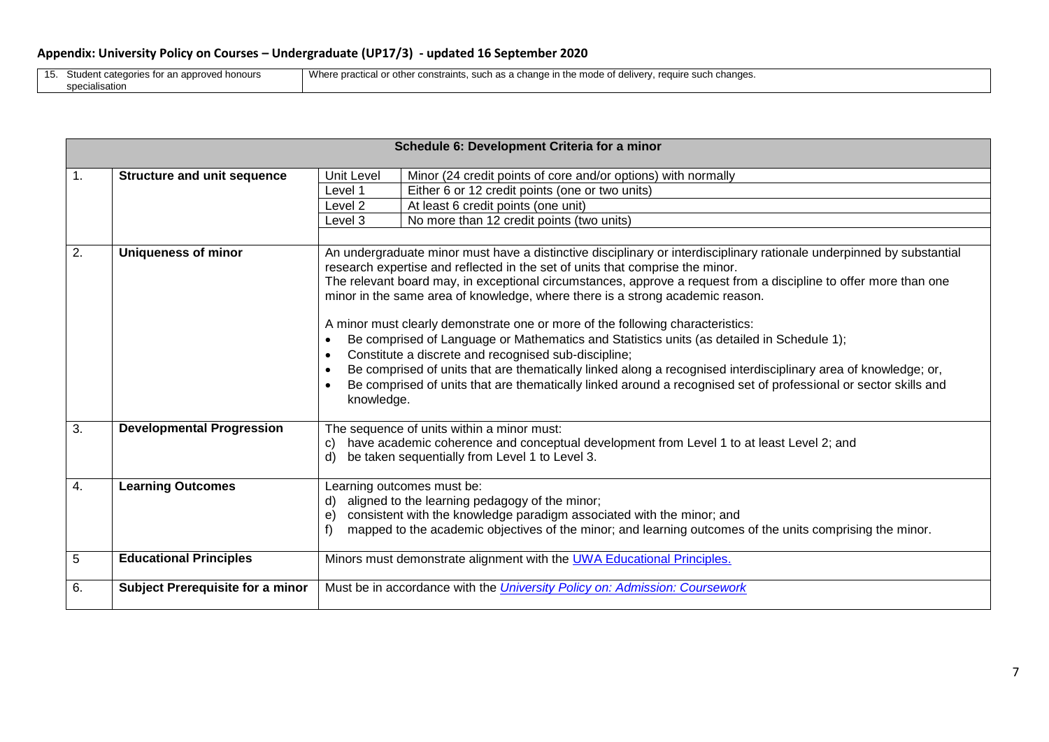$\mathbf{I}$ 

| 1 <sub>E</sub><br>IJ. | Stud<br>l honours<br>s for an approved<br>categories | <b>A</b><br>ೀ constraints. .<br>changes<br>), such as a change in the mode of delivery.<br>rea<br>wnere nr≏<br><u>าr othei</u><br>-SUCL.<br>нге<br>siauluai ur i |
|-----------------------|------------------------------------------------------|------------------------------------------------------------------------------------------------------------------------------------------------------------------|
|                       | specialisation                                       |                                                                                                                                                                  |

|                  |                                    | Schedule 6: Development Criteria for a minor                                                                                                                                                                                                                                                                                                                                                                                                                                                                                                                                                                                                                                                                                                                                                                                                                                                          |
|------------------|------------------------------------|-------------------------------------------------------------------------------------------------------------------------------------------------------------------------------------------------------------------------------------------------------------------------------------------------------------------------------------------------------------------------------------------------------------------------------------------------------------------------------------------------------------------------------------------------------------------------------------------------------------------------------------------------------------------------------------------------------------------------------------------------------------------------------------------------------------------------------------------------------------------------------------------------------|
|                  |                                    |                                                                                                                                                                                                                                                                                                                                                                                                                                                                                                                                                                                                                                                                                                                                                                                                                                                                                                       |
| $\overline{1}$ . | <b>Structure and unit sequence</b> | Unit Level<br>Minor (24 credit points of core and/or options) with normally                                                                                                                                                                                                                                                                                                                                                                                                                                                                                                                                                                                                                                                                                                                                                                                                                           |
|                  |                                    | Either 6 or 12 credit points (one or two units)<br>Level 1                                                                                                                                                                                                                                                                                                                                                                                                                                                                                                                                                                                                                                                                                                                                                                                                                                            |
|                  |                                    | Level <sub>2</sub><br>At least 6 credit points (one unit)                                                                                                                                                                                                                                                                                                                                                                                                                                                                                                                                                                                                                                                                                                                                                                                                                                             |
|                  |                                    | No more than 12 credit points (two units)<br>Level 3                                                                                                                                                                                                                                                                                                                                                                                                                                                                                                                                                                                                                                                                                                                                                                                                                                                  |
|                  |                                    |                                                                                                                                                                                                                                                                                                                                                                                                                                                                                                                                                                                                                                                                                                                                                                                                                                                                                                       |
| $\overline{2}$ . | <b>Uniqueness of minor</b>         | An undergraduate minor must have a distinctive disciplinary or interdisciplinary rationale underpinned by substantial<br>research expertise and reflected in the set of units that comprise the minor.<br>The relevant board may, in exceptional circumstances, approve a request from a discipline to offer more than one<br>minor in the same area of knowledge, where there is a strong academic reason.<br>A minor must clearly demonstrate one or more of the following characteristics:<br>Be comprised of Language or Mathematics and Statistics units (as detailed in Schedule 1);<br>Constitute a discrete and recognised sub-discipline;<br>Be comprised of units that are thematically linked along a recognised interdisciplinary area of knowledge; or,<br>Be comprised of units that are thematically linked around a recognised set of professional or sector skills and<br>knowledge. |
| 3.               | <b>Developmental Progression</b>   | The sequence of units within a minor must:<br>have academic coherence and conceptual development from Level 1 to at least Level 2; and<br>C)<br>be taken sequentially from Level 1 to Level 3.<br>d)                                                                                                                                                                                                                                                                                                                                                                                                                                                                                                                                                                                                                                                                                                  |
| 4.               | <b>Learning Outcomes</b>           | Learning outcomes must be:<br>aligned to the learning pedagogy of the minor;<br>d)<br>consistent with the knowledge paradigm associated with the minor; and<br>e)<br>mapped to the academic objectives of the minor; and learning outcomes of the units comprising the minor.                                                                                                                                                                                                                                                                                                                                                                                                                                                                                                                                                                                                                         |
| 5                | <b>Educational Principles</b>      | Minors must demonstrate alignment with the UWA Educational Principles.                                                                                                                                                                                                                                                                                                                                                                                                                                                                                                                                                                                                                                                                                                                                                                                                                                |
| 6.               | Subject Prerequisite for a minor   | Must be in accordance with the <i>University Policy on: Admission: Coursework</i>                                                                                                                                                                                                                                                                                                                                                                                                                                                                                                                                                                                                                                                                                                                                                                                                                     |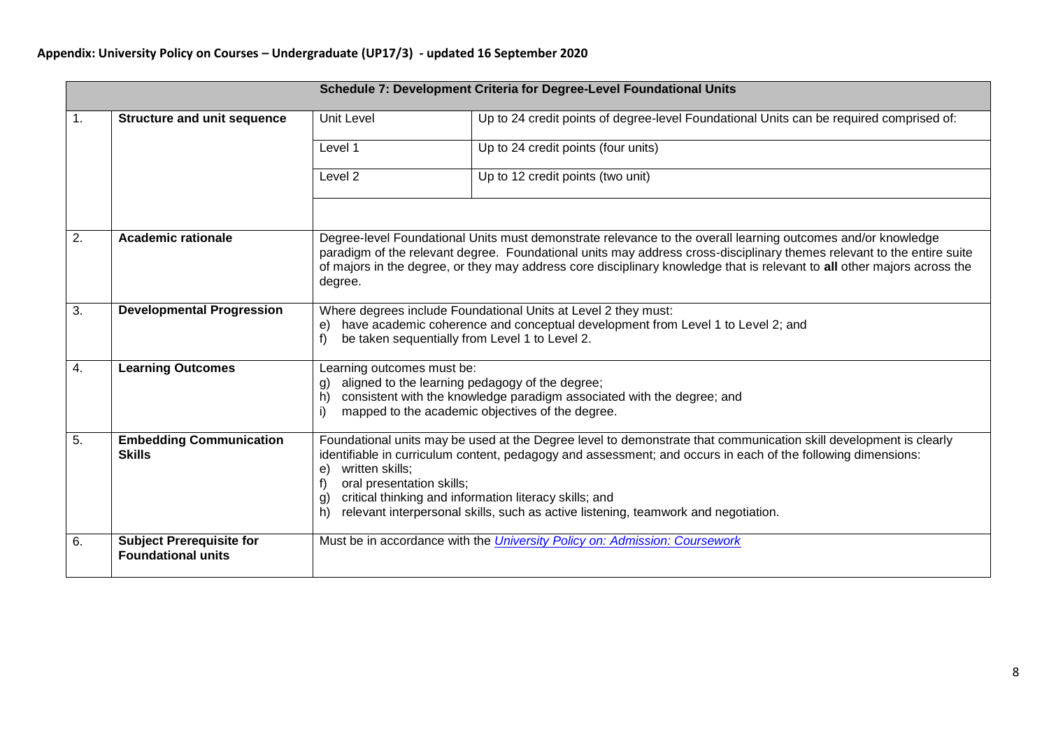|                  |                                                              |                                                                                                                                                                                                                                                                                                                                                                                                                                                               | Schedule 7: Development Criteria for Degree-Level Foundational Units                                                                                                                                                                                                                                                                                               |
|------------------|--------------------------------------------------------------|---------------------------------------------------------------------------------------------------------------------------------------------------------------------------------------------------------------------------------------------------------------------------------------------------------------------------------------------------------------------------------------------------------------------------------------------------------------|--------------------------------------------------------------------------------------------------------------------------------------------------------------------------------------------------------------------------------------------------------------------------------------------------------------------------------------------------------------------|
| $\overline{1}$ . | <b>Structure and unit sequence</b>                           | <b>Unit Level</b>                                                                                                                                                                                                                                                                                                                                                                                                                                             | Up to 24 credit points of degree-level Foundational Units can be required comprised of:                                                                                                                                                                                                                                                                            |
|                  |                                                              | Level 1                                                                                                                                                                                                                                                                                                                                                                                                                                                       | Up to 24 credit points (four units)                                                                                                                                                                                                                                                                                                                                |
|                  |                                                              | Level <sub>2</sub>                                                                                                                                                                                                                                                                                                                                                                                                                                            | Up to 12 credit points (two unit)                                                                                                                                                                                                                                                                                                                                  |
|                  |                                                              |                                                                                                                                                                                                                                                                                                                                                                                                                                                               |                                                                                                                                                                                                                                                                                                                                                                    |
| $\overline{2}$ . | <b>Academic rationale</b>                                    | degree.                                                                                                                                                                                                                                                                                                                                                                                                                                                       | Degree-level Foundational Units must demonstrate relevance to the overall learning outcomes and/or knowledge<br>paradigm of the relevant degree. Foundational units may address cross-disciplinary themes relevant to the entire suite<br>of majors in the degree, or they may address core disciplinary knowledge that is relevant to all other majors across the |
| $\overline{3}$ . | <b>Developmental Progression</b>                             | Where degrees include Foundational Units at Level 2 they must:<br>have academic coherence and conceptual development from Level 1 to Level 2; and<br>e)<br>f<br>be taken sequentially from Level 1 to Level 2.                                                                                                                                                                                                                                                |                                                                                                                                                                                                                                                                                                                                                                    |
| $\overline{4}$ . | <b>Learning Outcomes</b>                                     | Learning outcomes must be:<br>aligned to the learning pedagogy of the degree;<br>g)<br>consistent with the knowledge paradigm associated with the degree; and<br>h)<br>mapped to the academic objectives of the degree.                                                                                                                                                                                                                                       |                                                                                                                                                                                                                                                                                                                                                                    |
| 5.               | <b>Embedding Communication</b><br><b>Skills</b>              | Foundational units may be used at the Degree level to demonstrate that communication skill development is clearly<br>identifiable in curriculum content, pedagogy and assessment; and occurs in each of the following dimensions:<br>written skills;<br>e)<br>oral presentation skills;<br>critical thinking and information literacy skills; and<br>$\mathbf{g}$<br>relevant interpersonal skills, such as active listening, teamwork and negotiation.<br>h) |                                                                                                                                                                                                                                                                                                                                                                    |
| 6.               | <b>Subject Prerequisite for</b><br><b>Foundational units</b> |                                                                                                                                                                                                                                                                                                                                                                                                                                                               | Must be in accordance with the <i>University Policy on: Admission: Coursework</i>                                                                                                                                                                                                                                                                                  |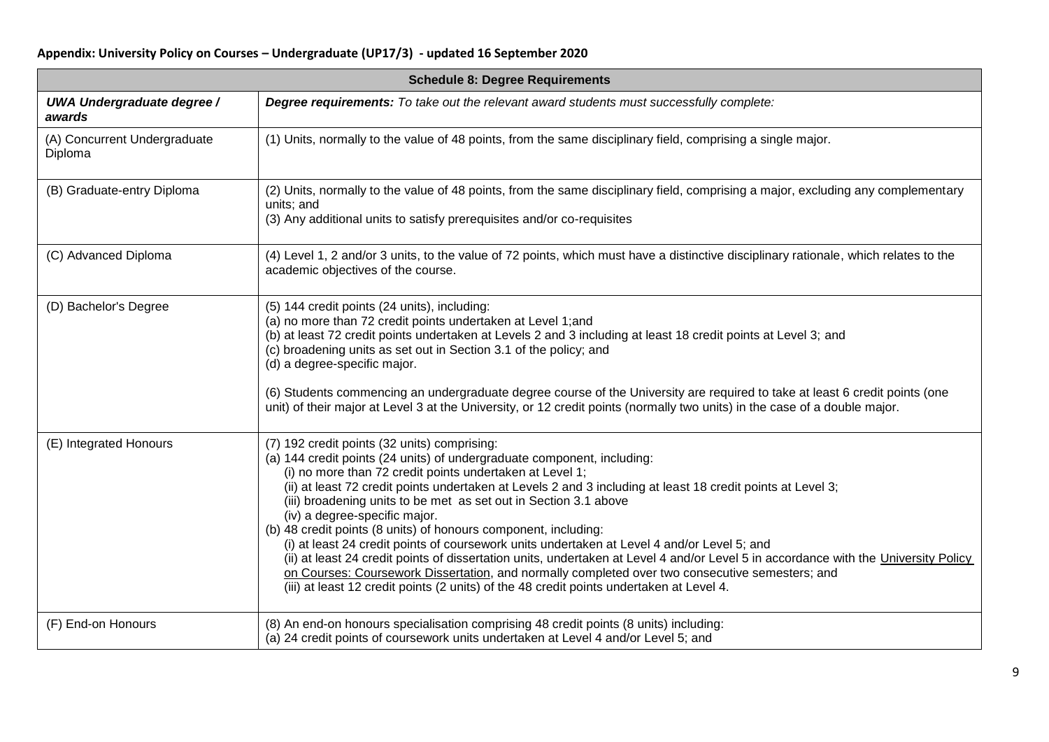| <b>Schedule 8: Degree Requirements</b>      |                                                                                                                                                                                                                                                                                                                                                                                                                                                                                                                                                                                                                                                                                                                                                                                                                                                                                                                                                                                                                                               |  |
|---------------------------------------------|-----------------------------------------------------------------------------------------------------------------------------------------------------------------------------------------------------------------------------------------------------------------------------------------------------------------------------------------------------------------------------------------------------------------------------------------------------------------------------------------------------------------------------------------------------------------------------------------------------------------------------------------------------------------------------------------------------------------------------------------------------------------------------------------------------------------------------------------------------------------------------------------------------------------------------------------------------------------------------------------------------------------------------------------------|--|
| <b>UWA Undergraduate degree /</b><br>awards | Degree requirements: To take out the relevant award students must successfully complete:                                                                                                                                                                                                                                                                                                                                                                                                                                                                                                                                                                                                                                                                                                                                                                                                                                                                                                                                                      |  |
| (A) Concurrent Undergraduate<br>Diploma     | (1) Units, normally to the value of 48 points, from the same disciplinary field, comprising a single major.                                                                                                                                                                                                                                                                                                                                                                                                                                                                                                                                                                                                                                                                                                                                                                                                                                                                                                                                   |  |
| (B) Graduate-entry Diploma                  | (2) Units, normally to the value of 48 points, from the same disciplinary field, comprising a major, excluding any complementary<br>units; and<br>(3) Any additional units to satisfy prerequisites and/or co-requisites                                                                                                                                                                                                                                                                                                                                                                                                                                                                                                                                                                                                                                                                                                                                                                                                                      |  |
| (C) Advanced Diploma                        | (4) Level 1, 2 and/or 3 units, to the value of 72 points, which must have a distinctive disciplinary rationale, which relates to the<br>academic objectives of the course.                                                                                                                                                                                                                                                                                                                                                                                                                                                                                                                                                                                                                                                                                                                                                                                                                                                                    |  |
| (D) Bachelor's Degree                       | (5) 144 credit points (24 units), including:<br>(a) no more than 72 credit points undertaken at Level 1;and<br>(b) at least 72 credit points undertaken at Levels 2 and 3 including at least 18 credit points at Level 3; and<br>(c) broadening units as set out in Section 3.1 of the policy; and<br>(d) a degree-specific major.<br>(6) Students commencing an undergraduate degree course of the University are required to take at least 6 credit points (one                                                                                                                                                                                                                                                                                                                                                                                                                                                                                                                                                                             |  |
| (E) Integrated Honours                      | unit) of their major at Level 3 at the University, or 12 credit points (normally two units) in the case of a double major.<br>(7) 192 credit points (32 units) comprising:<br>(a) 144 credit points (24 units) of undergraduate component, including:<br>(i) no more than 72 credit points undertaken at Level 1;<br>(ii) at least 72 credit points undertaken at Levels 2 and 3 including at least 18 credit points at Level 3;<br>(iii) broadening units to be met as set out in Section 3.1 above<br>(iv) a degree-specific major.<br>(b) 48 credit points (8 units) of honours component, including:<br>(i) at least 24 credit points of coursework units undertaken at Level 4 and/or Level 5; and<br>(ii) at least 24 credit points of dissertation units, undertaken at Level 4 and/or Level 5 in accordance with the University Policy<br>on Courses: Coursework Dissertation, and normally completed over two consecutive semesters; and<br>(iii) at least 12 credit points (2 units) of the 48 credit points undertaken at Level 4. |  |
| (F) End-on Honours                          | (8) An end-on honours specialisation comprising 48 credit points (8 units) including:<br>(a) 24 credit points of coursework units undertaken at Level 4 and/or Level 5; and                                                                                                                                                                                                                                                                                                                                                                                                                                                                                                                                                                                                                                                                                                                                                                                                                                                                   |  |